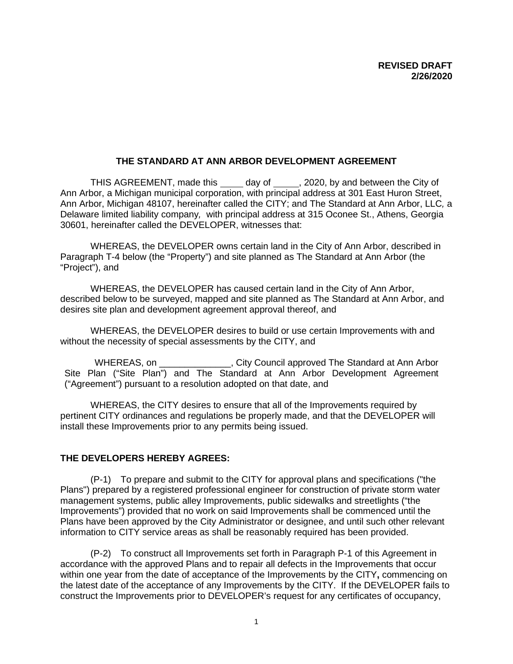## **THE STANDARD AT ANN ARBOR DEVELOPMENT AGREEMENT**

THIS AGREEMENT, made this \_\_\_\_\_ day of \_\_\_\_\_, 2020, by and between the City of Ann Arbor, a Michigan municipal corporation, with principal address at 301 East Huron Street, Ann Arbor, Michigan 48107, hereinafter called the CITY; and The Standard at Ann Arbor, LLC*,* a Delaware limited liability company*,* with principal address at 315 Oconee St., Athens, Georgia 30601, hereinafter called the DEVELOPER, witnesses that:

WHEREAS, the DEVELOPER owns certain land in the City of Ann Arbor, described in Paragraph T-4 below (the "Property") and site planned as The Standard at Ann Arbor (the "Project"), and

WHEREAS, the DEVELOPER has caused certain land in the City of Ann Arbor, described below to be surveyed, mapped and site planned as The Standard at Ann Arbor, and desires site plan and development agreement approval thereof, and

WHEREAS, the DEVELOPER desires to build or use certain Improvements with and without the necessity of special assessments by the CITY, and

WHEREAS, on \_\_\_\_\_\_\_\_\_\_\_\_\_\_\_, City Council approved The Standard at Ann Arbor Site Plan ("Site Plan") and The Standard at Ann Arbor Development Agreement ("Agreement") pursuant to a resolution adopted on that date, and

WHEREAS, the CITY desires to ensure that all of the Improvements required by pertinent CITY ordinances and regulations be properly made, and that the DEVELOPER will install these Improvements prior to any permits being issued.

## **THE DEVELOPERS HEREBY AGREES:**

(P-1) To prepare and submit to the CITY for approval plans and specifications ("the Plans") prepared by a registered professional engineer for construction of private storm water management systems, public alley Improvements, public sidewalks and streetlights ("the Improvements") provided that no work on said Improvements shall be commenced until the Plans have been approved by the City Administrator or designee, and until such other relevant information to CITY service areas as shall be reasonably required has been provided.

(P-2) To construct all Improvements set forth in Paragraph P-1 of this Agreement in accordance with the approved Plans and to repair all defects in the Improvements that occur within one year from the date of acceptance of the Improvements by the CITY**,** commencing on the latest date of the acceptance of any Improvements by the CITY. If the DEVELOPER fails to construct the Improvements prior to DEVELOPER's request for any certificates of occupancy,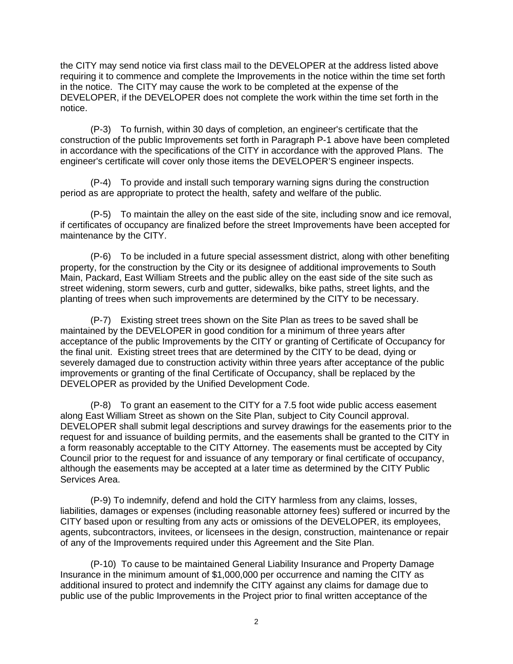the CITY may send notice via first class mail to the DEVELOPER at the address listed above requiring it to commence and complete the Improvements in the notice within the time set forth in the notice. The CITY may cause the work to be completed at the expense of the DEVELOPER, if the DEVELOPER does not complete the work within the time set forth in the notice.

(P-3) To furnish, within 30 days of completion, an engineer's certificate that the construction of the public Improvements set forth in Paragraph P-1 above have been completed in accordance with the specifications of the CITY in accordance with the approved Plans. The engineer's certificate will cover only those items the DEVELOPER'S engineer inspects.

(P-4) To provide and install such temporary warning signs during the construction period as are appropriate to protect the health, safety and welfare of the public*.*

(P-5) To maintain the alley on the east side of the site, including snow and ice removal, if certificates of occupancy are finalized before the street Improvements have been accepted for maintenance by the CITY.

(P-6) To be included in a future special assessment district, along with other benefiting property, for the construction by the City or its designee of additional improvements to South Main, Packard, East William Streets and the public alley on the east side of the site such as street widening, storm sewers, curb and gutter, sidewalks, bike paths, street lights, and the planting of trees when such improvements are determined by the CITY to be necessary.

(P-7) Existing street trees shown on the Site Plan as trees to be saved shall be maintained by the DEVELOPER in good condition for a minimum of three years after acceptance of the public Improvements by the CITY or granting of Certificate of Occupancy for the final unit. Existing street trees that are determined by the CITY to be dead, dying or severely damaged due to construction activity within three years after acceptance of the public improvements or granting of the final Certificate of Occupancy, shall be replaced by the DEVELOPER as provided by the Unified Development Code.

(P-8) To grant an easement to the CITY for a 7.5 foot wide public access easement along East William Street as shown on the Site Plan, subject to City Council approval. DEVELOPER shall submit legal descriptions and survey drawings for the easements prior to the request for and issuance of building permits, and the easements shall be granted to the CITY in a form reasonably acceptable to the CITY Attorney. The easements must be accepted by City Council prior to the request for and issuance of any temporary or final certificate of occupancy, although the easements may be accepted at a later time as determined by the CITY Public Services Area.

(P-9) To indemnify, defend and hold the CITY harmless from any claims, losses, liabilities, damages or expenses (including reasonable attorney fees) suffered or incurred by the CITY based upon or resulting from any acts or omissions of the DEVELOPER, its employees, agents, subcontractors, invitees, or licensees in the design, construction, maintenance or repair of any of the Improvements required under this Agreement and the Site Plan.

(P-10) To cause to be maintained General Liability Insurance and Property Damage Insurance in the minimum amount of \$1,000,000 per occurrence and naming the CITY as additional insured to protect and indemnify the CITY against any claims for damage due to public use of the public Improvements in the Project prior to final written acceptance of the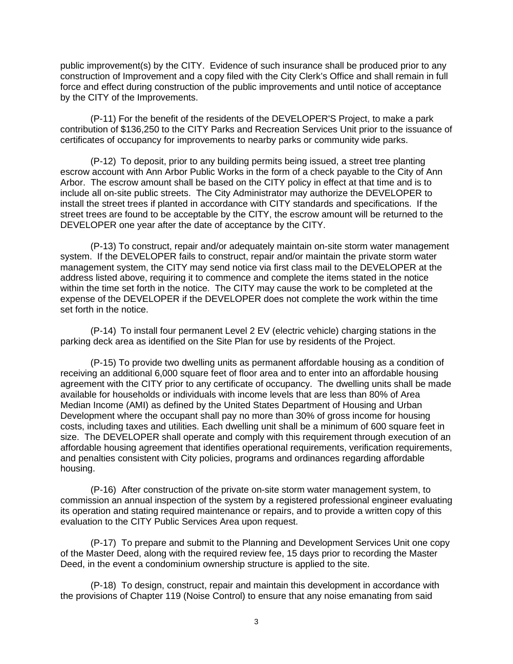public improvement(s) by the CITY. Evidence of such insurance shall be produced prior to any construction of Improvement and a copy filed with the City Clerk's Office and shall remain in full force and effect during construction of the public improvements and until notice of acceptance by the CITY of the Improvements.

(P-11) For the benefit of the residents of the DEVELOPER'S Project, to make a park contribution of \$136,250 to the CITY Parks and Recreation Services Unit prior to the issuance of certificates of occupancy for improvements to nearby parks or community wide parks.

(P-12) To deposit, prior to any building permits being issued, a street tree planting escrow account with Ann Arbor Public Works in the form of a check payable to the City of Ann Arbor. The escrow amount shall be based on the CITY policy in effect at that time and is to include all on-site public streets. The City Administrator may authorize the DEVELOPER to install the street trees if planted in accordance with CITY standards and specifications. If the street trees are found to be acceptable by the CITY, the escrow amount will be returned to the DEVELOPER one year after the date of acceptance by the CITY.

(P-13) To construct, repair and/or adequately maintain on-site storm water management system. If the DEVELOPER fails to construct, repair and/or maintain the private storm water management system, the CITY may send notice via first class mail to the DEVELOPER at the address listed above, requiring it to commence and complete the items stated in the notice within the time set forth in the notice. The CITY may cause the work to be completed at the expense of the DEVELOPER if the DEVELOPER does not complete the work within the time set forth in the notice.

(P-14) To install four permanent Level 2 EV (electric vehicle) charging stations in the parking deck area as identified on the Site Plan for use by residents of the Project.

(P-15) To provide two dwelling units as permanent affordable housing as a condition of receiving an additional 6,000 square feet of floor area and to enter into an affordable housing agreement with the CITY prior to any certificate of occupancy. The dwelling units shall be made available for households or individuals with income levels that are less than 80% of Area Median Income (AMI) as defined by the United States Department of Housing and Urban Development where the occupant shall pay no more than 30% of gross income for housing costs, including taxes and utilities. Each dwelling unit shall be a minimum of 600 square feet in size. The DEVELOPER shall operate and comply with this requirement through execution of an affordable housing agreement that identifies operational requirements, verification requirements, and penalties consistent with City policies, programs and ordinances regarding affordable housing.

(P-16) After construction of the private on-site storm water management system, to commission an annual inspection of the system by a registered professional engineer evaluating its operation and stating required maintenance or repairs, and to provide a written copy of this evaluation to the CITY Public Services Area upon request.

(P-17) To prepare and submit to the Planning and Development Services Unit one copy of the Master Deed, along with the required review fee, 15 days prior to recording the Master Deed, in the event a condominium ownership structure is applied to the site.

(P-18) To design, construct, repair and maintain this development in accordance with the provisions of Chapter 119 (Noise Control) to ensure that any noise emanating from said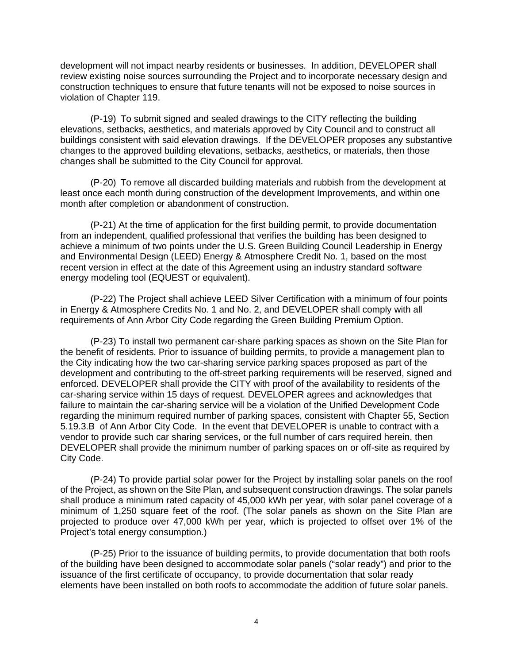development will not impact nearby residents or businesses. In addition, DEVELOPER shall review existing noise sources surrounding the Project and to incorporate necessary design and construction techniques to ensure that future tenants will not be exposed to noise sources in violation of Chapter 119.

(P-19) To submit signed and sealed drawings to the CITY reflecting the building elevations, setbacks, aesthetics, and materials approved by City Council and to construct all buildings consistent with said elevation drawings. If the DEVELOPER proposes any substantive changes to the approved building elevations, setbacks, aesthetics, or materials, then those changes shall be submitted to the City Council for approval.

(P-20) To remove all discarded building materials and rubbish from the development at least once each month during construction of the development Improvements, and within one month after completion or abandonment of construction.

(P-21) At the time of application for the first building permit, to provide documentation from an independent, qualified professional that verifies the building has been designed to achieve a minimum of two points under the U.S. Green Building Council Leadership in Energy and Environmental Design (LEED) Energy & Atmosphere Credit No. 1, based on the most recent version in effect at the date of this Agreement using an industry standard software energy modeling tool (EQUEST or equivalent).

(P-22) The Project shall achieve LEED Silver Certification with a minimum of four points in Energy & Atmosphere Credits No. 1 and No. 2, and DEVELOPER shall comply with all requirements of Ann Arbor City Code regarding the Green Building Premium Option.

(P-23) To install two permanent car-share parking spaces as shown on the Site Plan for the benefit of residents. Prior to issuance of building permits, to provide a management plan to the City indicating how the two car-sharing service parking spaces proposed as part of the development and contributing to the off-street parking requirements will be reserved, signed and enforced. DEVELOPER shall provide the CITY with proof of the availability to residents of the car-sharing service within 15 days of request. DEVELOPER agrees and acknowledges that failure to maintain the car-sharing service will be a violation of the Unified Development Code regarding the minimum required number of parking spaces, consistent with Chapter 55, Section 5.19.3.B of Ann Arbor City Code. In the event that DEVELOPER is unable to contract with a vendor to provide such car sharing services, or the full number of cars required herein, then DEVELOPER shall provide the minimum number of parking spaces on or off-site as required by City Code.

(P-24) To provide partial solar power for the Project by installing solar panels on the roof of the Project, as shown on the Site Plan, and subsequent construction drawings. The solar panels shall produce a minimum rated capacity of 45,000 kWh per year, with solar panel coverage of a minimum of 1,250 square feet of the roof. (The solar panels as shown on the Site Plan are projected to produce over 47,000 kWh per year, which is projected to offset over 1% of the Project's total energy consumption.)

(P-25) Prior to the issuance of building permits, to provide documentation that both roofs of the building have been designed to accommodate solar panels ("solar ready") and prior to the issuance of the first certificate of occupancy, to provide documentation that solar ready elements have been installed on both roofs to accommodate the addition of future solar panels.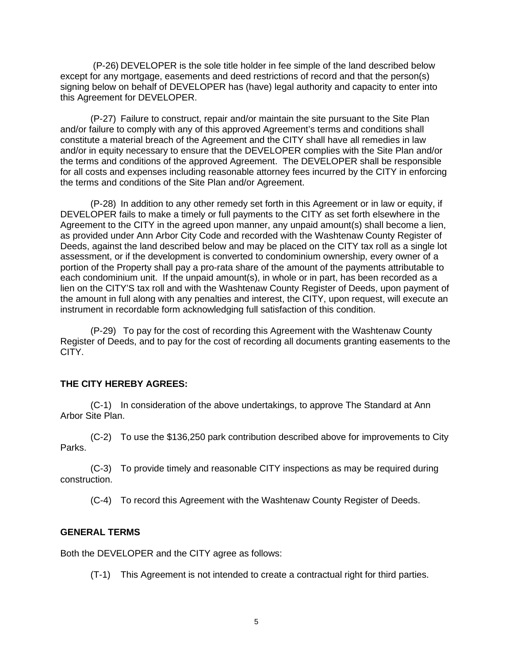(P-26) DEVELOPER is the sole title holder in fee simple of the land described below except for any mortgage, easements and deed restrictions of record and that the person(s) signing below on behalf of DEVELOPER has (have) legal authority and capacity to enter into this Agreement for DEVELOPER.

(P-27) Failure to construct, repair and/or maintain the site pursuant to the Site Plan and/or failure to comply with any of this approved Agreement's terms and conditions shall constitute a material breach of the Agreement and the CITY shall have all remedies in law and/or in equity necessary to ensure that the DEVELOPER complies with the Site Plan and/or the terms and conditions of the approved Agreement. The DEVELOPER shall be responsible for all costs and expenses including reasonable attorney fees incurred by the CITY in enforcing the terms and conditions of the Site Plan and/or Agreement.

(P-28) In addition to any other remedy set forth in this Agreement or in law or equity, if DEVELOPER fails to make a timely or full payments to the CITY as set forth elsewhere in the Agreement to the CITY in the agreed upon manner, any unpaid amount(s) shall become a lien, as provided under Ann Arbor City Code and recorded with the Washtenaw County Register of Deeds, against the land described below and may be placed on the CITY tax roll as a single lot assessment, or if the development is converted to condominium ownership, every owner of a portion of the Property shall pay a pro-rata share of the amount of the payments attributable to each condominium unit. If the unpaid amount(s), in whole or in part, has been recorded as a lien on the CITY'S tax roll and with the Washtenaw County Register of Deeds, upon payment of the amount in full along with any penalties and interest, the CITY, upon request, will execute an instrument in recordable form acknowledging full satisfaction of this condition.

(P-29) To pay for the cost of recording this Agreement with the Washtenaw County Register of Deeds, and to pay for the cost of recording all documents granting easements to the CITY.

## **THE CITY HEREBY AGREES:**

(C-1) In consideration of the above undertakings, to approve The Standard at Ann Arbor Site Plan.

(C-2) To use the \$136,250 park contribution described above for improvements to City Parks.

(C-3) To provide timely and reasonable CITY inspections as may be required during construction.

(C-4) To record this Agreement with the Washtenaw County Register of Deeds.

## **GENERAL TERMS**

Both the DEVELOPER and the CITY agree as follows:

(T-1) This Agreement is not intended to create a contractual right for third parties.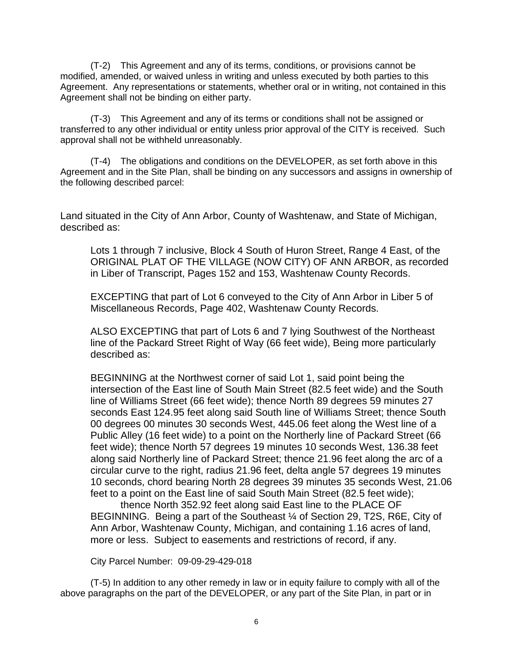(T-2) This Agreement and any of its terms, conditions, or provisions cannot be modified, amended, or waived unless in writing and unless executed by both parties to this Agreement. Any representations or statements, whether oral or in writing, not contained in this Agreement shall not be binding on either party.

(T-3) This Agreement and any of its terms or conditions shall not be assigned or transferred to any other individual or entity unless prior approval of the CITY is received. Such approval shall not be withheld unreasonably.

(T-4) The obligations and conditions on the DEVELOPER, as set forth above in this Agreement and in the Site Plan, shall be binding on any successors and assigns in ownership of the following described parcel:

Land situated in the City of Ann Arbor, County of Washtenaw, and State of Michigan, described as:

Lots 1 through 7 inclusive, Block 4 South of Huron Street, Range 4 East, of the ORIGINAL PLAT OF THE VILLAGE (NOW CITY) OF ANN ARBOR, as recorded in Liber of Transcript, Pages 152 and 153, Washtenaw County Records.

EXCEPTING that part of Lot 6 conveyed to the City of Ann Arbor in Liber 5 of Miscellaneous Records, Page 402, Washtenaw County Records.

ALSO EXCEPTING that part of Lots 6 and 7 lying Southwest of the Northeast line of the Packard Street Right of Way (66 feet wide), Being more particularly described as:

BEGINNING at the Northwest corner of said Lot 1, said point being the intersection of the East line of South Main Street (82.5 feet wide) and the South line of Williams Street (66 feet wide); thence North 89 degrees 59 minutes 27 seconds East 124.95 feet along said South line of Williams Street; thence South 00 degrees 00 minutes 30 seconds West, 445.06 feet along the West line of a Public Alley (16 feet wide) to a point on the Northerly line of Packard Street (66 feet wide); thence North 57 degrees 19 minutes 10 seconds West, 136.38 feet along said Northerly line of Packard Street; thence 21.96 feet along the arc of a circular curve to the right, radius 21.96 feet, delta angle 57 degrees 19 minutes 10 seconds, chord bearing North 28 degrees 39 minutes 35 seconds West, 21.06 feet to a point on the East line of said South Main Street (82.5 feet wide);

thence North 352.92 feet along said East line to the PLACE OF BEGINNING. Being a part of the Southeast ¼ of Section 29, T2S, R6E, City of Ann Arbor, Washtenaw County, Michigan, and containing 1.16 acres of land, more or less. Subject to easements and restrictions of record, if any.

City Parcel Number: 09-09-29-429-018

(T-5) In addition to any other remedy in law or in equity failure to comply with all of the above paragraphs on the part of the DEVELOPER, or any part of the Site Plan, in part or in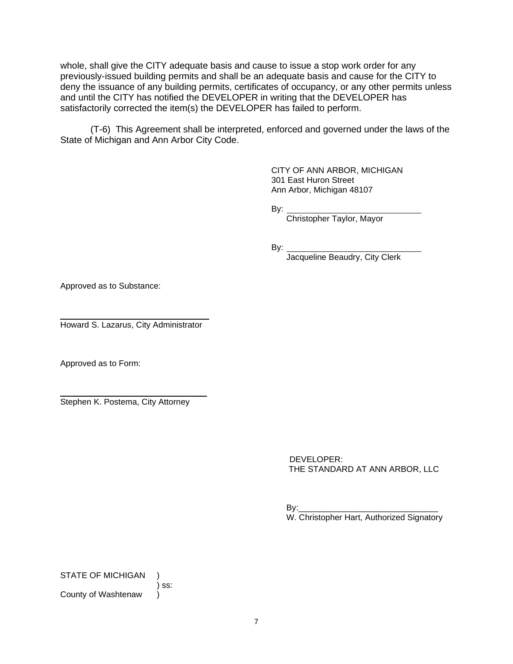whole, shall give the CITY adequate basis and cause to issue a stop work order for any previously-issued building permits and shall be an adequate basis and cause for the CITY to deny the issuance of any building permits, certificates of occupancy, or any other permits unless and until the CITY has notified the DEVELOPER in writing that the DEVELOPER has satisfactorily corrected the item(s) the DEVELOPER has failed to perform.

(T-6) This Agreement shall be interpreted, enforced and governed under the laws of the State of Michigan and Ann Arbor City Code.

> CITY OF ANN ARBOR, MICHIGAN 301 East Huron Street Ann Arbor, Michigan 48107

By:

Christopher Taylor, Mayor

By:

Jacqueline Beaudry, City Clerk

Approved as to Substance:

l Howard S. Lazarus, City Administrator

Approved as to Form:

l Stephen K. Postema, City Attorney

> DEVELOPER: THE STANDARD AT ANN ARBOR, LLC

 $By:$ W. Christopher Hart, Authorized Signatory

STATE OF MICHIGAN

) ss:

County of Washtenaw )